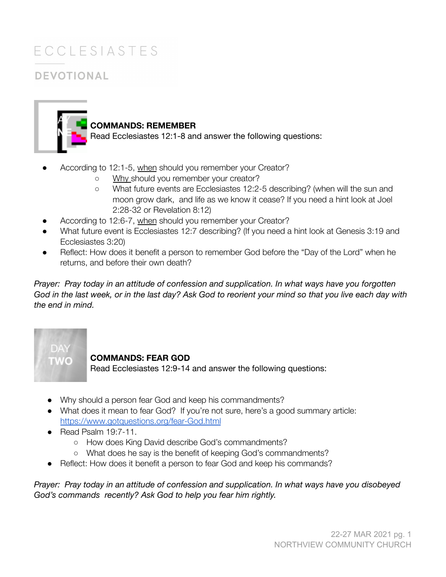## **ECCLESIASTES DEVOTIONAL**



### **COMMANDS: REMEMBER**

Read Ecclesiastes 12:1-8 and answer the following questions:

- According to 12:1-5, when should you remember your Creator?
	- Why should you remember your creator?
	- What future events are Ecclesiastes 12:2-5 describing? (when will the sun and moon grow dark, and life as we know it cease? If you need a hint look at Joel 2:28-32 or Revelation 8:12)
- According to 12:6-7, when should you remember your Creator?
- What future event is Ecclesiastes 12:7 describing? (If you need a hint look at Genesis 3:19 and Ecclesiastes 3:20)
- Reflect: How does it benefit a person to remember God before the "Day of the Lord" when he returns, and before their own death?

*Prayer: Pray today in an attitude of confession and supplication. In what ways have you forgotten* God in the last week, or in the last day? Ask God to reorient your mind so that you live each day with *the end in mind.*

# TWO

#### **COMMANDS: FEAR GOD**

Read Ecclesiastes 12:9-14 and answer the following questions:

- Why should a person fear God and keep his commandments?
- What does it mean to fear God? If you're not sure, here's a good summary article: <https://www.gotquestions.org/fear-God.html>
- Read Psalm 19:7-11.
	- How does King David describe God's commandments?
	- What does he say is the benefit of keeping God's commandments?
- Reflect: How does it benefit a person to fear God and keep his commands?

*Prayer: Pray today in an attitude of confession and supplication. In what ways have you disobeyed God's commands recently? Ask God to help you fear him rightly.*